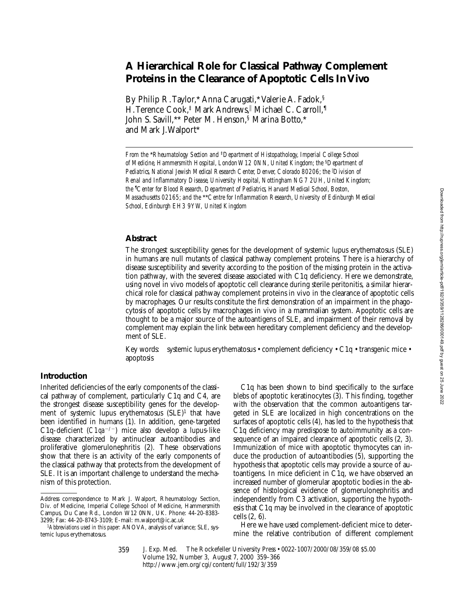# **A Hierarchical Role for Classical Pathway Complement Proteins in the Clearance of Apoptotic Cells In Vivo**

By Philip R. Taylor,\* Anna Carugati,\* Valerie A. Fadok,§ H. Terence Cook,‡ Mark Andrews,∥ Michael C. Carroll,¶ John S. Savill,\*\* Peter M. Henson,§ Marina Botto,\* and Mark J. Walport\*

*From the* \**Rheumatology Section and* ‡*Department of Histopathology, Imperial College School of Medicine, Hammersmith Hospital, London W12 0NN, United Kingdom; the* §*Department of*  Pediatrics, National Jewish Medical Research Center, Denver, Colorado 80206; the *Division of Renal and Inflammatory Disease, University Hospital, Nottingham NG7 2UH, United Kingdom; the* ¶ *Center for Blood Research, Department of Pediatrics, Harvard Medical School, Boston, Massachusetts 02165; and the* \*\**Centre for Inflammation Research, University of Edinburgh Medical School, Edinburgh EH3 9YW, United Kingdom*

## **Abstract**

The strongest susceptibility genes for the development of systemic lupus erythematosus (SLE) in humans are null mutants of classical pathway complement proteins. There is a hierarchy of disease susceptibility and severity according to the position of the missing protein in the activation pathway, with the severest disease associated with C1q deficiency. Here we demonstrate, using novel in vivo models of apoptotic cell clearance during sterile peritonitis, a similar hierarchical role for classical pathway complement proteins in vivo in the clearance of apoptotic cells by macrophages. Our results constitute the first demonstration of an impairment in the phagocytosis of apoptotic cells by macrophages in vivo in a mammalian system. Apoptotic cells are thought to be a major source of the autoantigens of SLE, and impairment of their removal by complement may explain the link between hereditary complement deficiency and the development of SLE.

Key words: systemic lupus erythematosus • complement deficiency • C1q • transgenic mice • apoptosis

# **Introduction**

Inherited deficiencies of the early components of the classical pathway of complement, particularly C1q and C4, are the strongest disease susceptibility genes for the development of systemic lupus erythematosus  $(SLE)^1$  that have been identified in humans (1). In addition, gene-targeted C1q-deficient (C1qa<sup>-/-</sup>) mice also develop a lupus-like disease characterized by antinuclear autoantibodies and proliferative glomerulonephritis (2). These observations show that there is an activity of the early components of the classical pathway that protects from the development of SLE. It is an important challenge to understand the mechanism of this protection.

C1q has been shown to bind specifically to the surface blebs of apoptotic keratinocytes (3). This finding, together with the observation that the common autoantigens targeted in SLE are localized in high concentrations on the surfaces of apoptotic cells (4), has led to the hypothesis that C1q deficiency may predispose to autoimmunity as a consequence of an impaired clearance of apoptotic cells (2, 3). Immunization of mice with apoptotic thymocytes can induce the production of autoantibodies (5), supporting the hypothesis that apoptotic cells may provide a source of autoantigens. In mice deficient in C1q, we have observed an increased number of glomerular apoptotic bodies in the absence of histological evidence of glomerulonephritis and independently from C3 activation, supporting the hypothesis that C1q may be involved in the clearance of apoptotic cells (2, 6).

Here we have used complement-deficient mice to determine the relative contribution of different complement

Address correspondence to Mark J. Walport, Rheumatology Section, Div. of Medicine, Imperial College School of Medicine, Hammersmith Campus, Du Cane Rd., London W12 0NN, UK. Phone: 44-20-8383- 3299; Fax: 44-20-8743-3109; E-mail: m.walport@ic.ac.uk

<sup>1</sup>*Abbreviations used in this paper:* ANOVA, analysis of variance; SLE, systemic lupus erythematosus.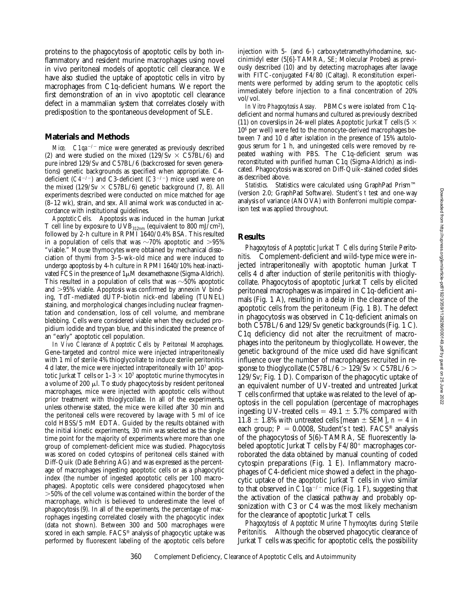proteins to the phagocytosis of apoptotic cells by both inflammatory and resident murine macrophages using novel in vivo peritoneal models of apoptotic cell clearance. We have also studied the uptake of apoptotic cells in vitro by macrophages from C1q-deficient humans. We report the first demonstration of an in vivo apoptotic cell clearance defect in a mammalian system that correlates closely with predisposition to the spontaneous development of SLE.

#### **Materials and Methods**

*Mice.*  $C1qa^{-/-}$  mice were generated as previously described (2) and were studied on the mixed (129/Sv  $\times$  C57BL/6) and pure inbred 129/Sv and C57BL/6 (backcrossed for seven generations) genetic backgrounds as specified when appropriate. C4 deficient  $(C4^{-/-})$  and C3-deficient  $(C3^{-/-})$  mice used were on the mixed  $(129/Sv \times C57BL/6)$  genetic background (7, 8). All experiments described were conducted on mice matched for age (8–12 wk), strain, and sex. All animal work was conducted in accordance with institutional guidelines.

*Apoptotic Cells.* Apoptosis was induced in the human Jurkat T cell line by exposure to  $UVB_{312nm}$  (equivalent to 800 mJ/cm<sup>2</sup>), followed by 2-h culture in RPMI 1640/0.4% BSA. This resulted in a population of cells that was  $\sim$ 70% apoptotic and  $>$ 95% "viable." Mouse thymocytes were obtained by mechanical dissociation of thymi from 3–5-wk-old mice and were induced to undergo apoptosis by 4-h culture in RPMI 1640/10% heat-inactivated FCS in the presence of  $1\mu$ M dexamethasone (Sigma-Aldrich). This resulted in a population of cells that was  $\sim$ 50% apoptotic and  $>95\%$  viable. Apoptosis was confirmed by annexin V binding, TdT-mediated dUTP-biotin nick-end labeling (TUNEL) staining, and morphological changes including nuclear fragmentation and condensation, loss of cell volume, and membrane blebbing. Cells were considered viable when they excluded propidium iodide and trypan blue, and this indicated the presence of an "early" apoptotic cell population.

*In Vivo Clearance of Apoptotic Cells by Peritoneal Macrophages.* Gene-targeted and control mice were injected intraperitoneally with 1 ml of sterile 4% thioglycollate to induce sterile peritonitis. 4 d later, the mice were injected intraperitoneally with 107 apoptotic Jurkat T cells or  $1-3 \times 10^7$  apoptotic murine thymocytes in a volume of 200  $\mu$ l. To study phagocytosis by resident peritoneal macrophages, mice were injected with apoptotic cells without prior treatment with thioglycollate. In all of the experiments, unless otherwise stated, the mice were killed after 30 min and the peritoneal cells were recovered by lavage with 5 ml of ice cold HBSS/5 mM EDTA. Guided by the results obtained with the initial kinetic experiments, 30 min was selected as the single time point for the majority of experiments where more than one group of complement-deficient mice was studied. Phagocytosis was scored on coded cytospins of peritoneal cells stained with Diff-Quik (Dade Behring AG) and was expressed as the percentage of macrophages ingesting apoptotic cells or as a phagocytic index (the number of ingested apoptotic cells per 100 macrophages). Apoptotic cells were considered phagocytosed when .50% of the cell volume was contained within the border of the macrophage, which is believed to underestimate the level of phagocytosis (9). In all of the experiments, the percentage of macrophages ingesting correlated closely with the phagocytic index (data not shown). Between 300 and 500 macrophages were scored in each sample. FACS® analysis of phagocytic uptake was performed by fluorescent labeling of the apoptotic cells before injection with 5- (and 6-) carboxytetramethylrhodamine, succinimidyl ester (5[6]-TAMRA, SE; Molecular Probes) as previously described (10) and by detecting macrophages after lavage with FITC-conjugated F4/80 (Caltag). Reconstitution experiments were performed by adding serum to the apoptotic cells immediately before injection to a final concentration of 20% vol/vol.

*In Vitro Phagocytosis Assay.* PBMCs were isolated from C1qdeficient and normal humans and cultured as previously described (11) on coverslips in 24-well plates. Apoptotic Jurkat T cells (5  $\times$ 106 per well) were fed to the monocyte-derived macrophages between 7 and 10 d after isolation in the presence of 15% autologous serum for 1 h, and uningested cells were removed by repeated washing with PBS. The C1q-deficient serum was reconstituted with purified human C1q (Sigma-Aldrich) as indicated. Phagocytosis was scored on Diff-Quik–stained coded slides as described above.

*Statistics.* Statistics were calculated using GraphPad Prism™ (version 2.0; GraphPad Software). Student's *t* test and one-way analysis of variance (ANOVA) with Bonferroni multiple comparison test was applied throughout.

### **Results**

*Phagocytosis of Apoptotic Jurkat T Cells during Sterile Peritonitis.* Complement-deficient and wild-type mice were injected intraperitoneally with apoptotic human Jurkat T cells 4 d after induction of sterile peritonitis with thioglycollate. Phagocytosis of apoptotic Jurkat T cells by elicited peritoneal macrophages was impaired in C1q-deficient animals (Fig. 1 A), resulting in a delay in the clearance of the apoptotic cells from the peritoneum (Fig. 1 B). The defect in phagocytosis was observed in C1q-deficient animals on both C57BL/6 and 129/Sv genetic backgrounds (Fig. 1 C). C1q deficiency did not alter the recruitment of macrophages into the peritoneum by thioglycollate. However, the genetic background of the mice used did have significant influence over the number of macrophages recruited in response to thioglycollate  $(C57BL/6 > 129/Sv \times C57BL/6 >$ 129/Sv; Fig. 1 D). Comparison of the phagocytic uptake of an equivalent number of UV-treated and untreated Jurkat T cells confirmed that uptake was related to the level of apoptosis in the cell population (percentage of macrophages ingesting UV-treated cells =  $49.1 \pm 5.7\%$  compared with  $11.8 \pm 1.8\%$  with untreated cells [mean  $\pm$  SEM], *n* = 4 in each group;  $P = 0.0008$ , Student's *t* test). FACS<sup>®</sup> analysis of the phagocytosis of 5(6)-TAMRA, SE fluorescently labeled apoptotic Jurkat  $T$  cells by  $F4/80^+$  macrophages corroborated the data obtained by manual counting of coded cytospin preparations (Fig. 1 E). Inflammatory macrophages of C4-deficient mice showed a defect in the phagocytic uptake of the apoptotic Jurkat T cells in vivo similar to that observed in  $C1qa^{-/-}$  mice (Fig. 1 F), suggesting that the activation of the classical pathway and probably opsonization with C3 or C4 was the most likely mechanism for the clearance of apoptotic Jurkat T cells.

*Phagocytosis of Apoptotic Murine Thymocytes during Sterile Peritonitis.* Although the observed phagocytic clearance of Jurkat T cells was specific for apoptotic cells, the possibility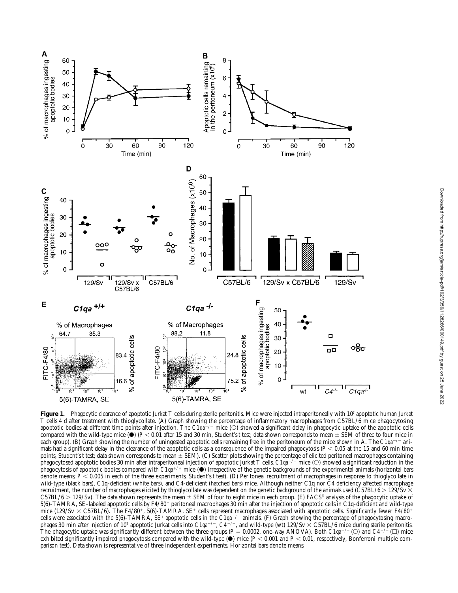

Figure 1. Phagocytic clearance of apoptotic Jurkat T cells during sterile peritonitis. Mice were injected intraperitoneally with 10<sup>7</sup> apoptotic human Jurkat T cells 4 d after treatment with thioglycollate. (A) Graph showing the percentage of inflammatory macrophages from C57BL/6 mice phagocytosing apoptotic bodies at different time points after injection. The  $CIq\bar{a}^{-/-}$  mice ( $\bigcirc$ ) showed a significant delay in phagocytic uptake of the apoptotic cells compared with the wild-type mice ( $\bullet$ ) ( $P < 0.01$  after 15 and 30 min, Student's *t* test; data shown corresponds to mean  $\pm$  SEM of three to four mice in each group). (B) Graph showing the number of uningested apoptotic cells remaining free in the peritoneum of the mice shown in A. The  $C1qa^{-/-}$  animals had a significant delay in the clearance of the apoptotic cells as a consequence of the impaired phagocytosis ( $P < 0.05$  at the 15 and 60 min time points, Student's *t* test; data shown corresponds to mean  $\pm$  SEM). (C) Scatter plots showing the percentage of elicited peritoneal macrophages containing phagocytosed apoptotic bodies 30 min after intraperitoneal injection of apoptotic Jurkat T cells.  $C1q$ a $^{-/-}$  mice (O) showed a significant reduction in the phagocytosis of apoptotic bodies compared with  $Clq$ a<sup>+/+</sup> mice ( $\bullet$ ) irrespective of the genetic backgrounds of the experimental animals (horizontal bars denote means;  $P \leq 0.005$  in each of the three experiments, Student's *t* test). (D) Peritoneal recruitment of macrophages in response to thioglycollate in wild-type (black bars), C1q-deficient (white bars), and C4-deficient (hatched bars) mice. Although neither C1q nor C4 deficiency affected macrophage recruitment, the number of macrophages elicited by thioglycollate was dependent on the genetic background of the animals used (C57BL/6  $> 129/\text{Sv} \times$ C57BL/6  $>$  129/Sv). The data shown represents the mean  $\pm$  SEM of four to eight mice in each group. (E) FACS® analysis of the phagocytic uptake of 5(6)-TAMRA, SE–labeled apoptotic cells by F4/80<sup>1</sup> peritoneal macrophages 30 min after the injection of apoptotic cells in C1q-deficient and wild-type mice (129/Sv  $\times$  C57BL/6). The F4/80<sup>+</sup>, 5(6)-TAMRA, SE<sup>+</sup> cells represent macrophages associated with apoptotic cells. Significantly fewer F4/80<sup>+</sup> cells were associated with the 5(6)-TAMRA, SE<sup>+</sup> apoptotic cells in the *C1qa<sup>-/-</sup>* animals. (F) Graph showing the percentage of phagocytosing macrophages 30 min after injection of 10<sup>7</sup> apoptotic Jurkat cells into  $C1qa^{-/-}$ ,  $C4^{-/-}$ , and wild-type (wt) 129/Sv  $\times$  C57BL/6 mice during sterile peritonitis. The phagocytic uptake was significantly different between the three groups ( $P = 0.0002$ , one-way ANOVA). Both  $Clqa^{-/-}$  (O) and  $C4^{-/-}$  ( $\Box$ ) mice exhibited significantly impaired phagocytosis compared with the wild-type ( $\bullet$ ) mice (*P* < 0.001 and *P* < 0.01, respectively, Bonferroni multiple comparison test). Data shown is representative of three independent experiments. Horizontal bars denote means.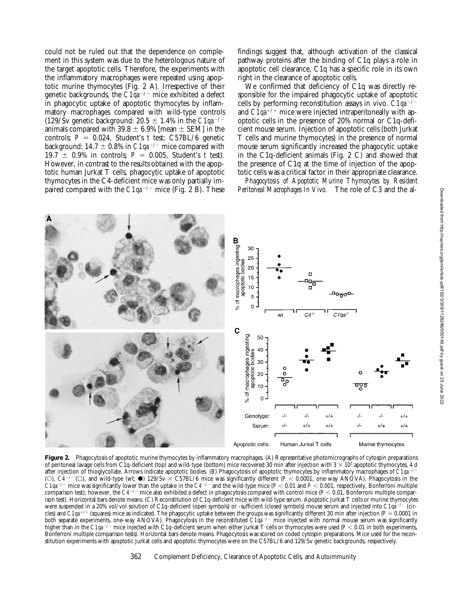could not be ruled out that the dependence on complement in this system was due to the heterologous nature of the target apoptotic cells. Therefore, the experiments with the inflammatory macrophages were repeated using apoptotic murine thymocytes (Fig. 2 A). Irrespective of their genetic backgrounds, the  $C1qa^{-/-}$  mice exhibited a defect in phagocytic uptake of apoptotic thymocytes by inflammatory macrophages compared with wild-type controls (129/Sv genetic background:  $20.5 \pm 1.4\%$  in the *C1qa<sup>-/-</sup>* animals compared with  $39.8 \pm 6.9\%$  [mean  $\pm$  SEM] in the controls;  $P = 0.024$ , Student's *t* test; C57BL/6 genetic background:  $14.7 \pm 0.8\%$  in *C1qa<sup>-/-</sup>* mice compared with 19.7  $\pm$  0.9% in controls; *P* = 0.005, Student's *t* test). However, in contrast to the results obtained with the apoptotic human Jurkat T cells, phagocytic uptake of apoptotic thymocytes in the C4-deficient mice was only partially impaired compared with the  $C1qa^{-/-}$  mice (Fig. 2 B). These

findings suggest that, although activation of the classical pathway proteins after the binding of C1q plays a role in apoptotic cell clearance, C1q has a specific role in its own right in the clearance of apoptotic cells.

We confirmed that deficiency of C1q was directly responsible for the impaired phagocytic uptake of apoptotic cells by performing reconstitution assays in vivo.  $C1qa^{-/-}$ and  $C1qa^{+/+}$  mice were injected intraperitoneally with apoptotic cells in the presence of 20% normal or C1q-deficient mouse serum. Injection of apoptotic cells (both Jurkat T cells and murine thymocytes) in the presence of normal mouse serum significantly increased the phagocytic uptake in the C1q-deficient animals (Fig. 2 C) and showed that the presence of C1q at the time of injection of the apoptotic cells was a critical factor in their appropriate clearance.

*Phagocytosis of Apoptotic Murine Thymocytes by Resident Peritoneal Macrophages In Vivo.* The role of C3 and the al-



Figure 2. Phagocytosis of apoptotic murine thymocytes by inflammatory macrophages. (A) Representative photomicrographs of cytospin preparations of peritoneal lavage cells from C1q-deficient (top) and wild-type (bottom) mice recovered 30 min after injection with  $3 \times 10^7$  apoptotic thymocytes, 4 d after injection of thioglycollate. Arrows indicate apoptotic bodies. (B) Phagocytosis of apoptotic thymocytes by inflammatory macrophages of *C1qa<sup>-/</sup>* (O),  $C4^{-/-}$  ( $\Box$ ), and wild-type (wt;  $\bullet$ ) 129/Sv  $\times$  C57BL/6 mice was significantly different ( $P \lt 0.0001$ , one-way ANOVA). Phagocytosis in the  $C1qa^{-/-}$  mice was significantly lower than the uptake in the  $C4^{-/-}$  and the wild-type mice (*P* < 0.01 and *P* < 0.001, respectively, Bonferroni multiple comparison test); however, the  $C4$ <sup>-/-</sup> mice also exhibited a defect in phagocytosis compared with control mice  $(P < 0.01$ , Bonferroni multiple comparison test). Horizontal bars denote means. (C) Reconstitution of C1q-deficient mice with wild-type serum. Apoptotic Jurkat T cells or murine thymocytes were suspended in a 20% vol/vol solution of C1q-deficient (open symbols) or -sufficient (closed symbols) mouse serum and injected into *C1qa<sup>-/-</sup>* (circles) and  $C1qa^{+/+}$  (squares) mice as indicated. The phagocytic uptake between the groups was significantly different 30 min after injection (*P* = 0.0001 in both separate experiments, one-way ANOVA). Phagocytosis in the reconstituted  $CIa<sup>2</sup>$  mice injected with normal mouse serum was significantly higher than in the  $C1qa^{-/-}$  mice injected with C1q-deficient serum when either Jurkat T cells or thymocytes were used (*P* < 0.01 in both experiments, Bonferroni multiple comparison tests). Horizontal bars denote means. Phagocytosis was scored on coded cytospin preparations. Mice used for the reconstitution experiments with apoptotic Jurkat cells and apoptotic thymocytes were on the C57BL/6 and 129/Sv genetic backgrounds, respectively.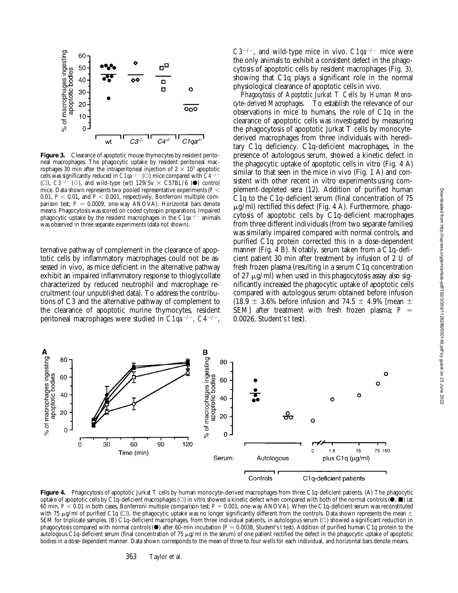

Figure 3. Clearance of apoptotic mouse thymocytes by resident peritoneal macrophages. The phagocytic uptake by resident peritoneal macrophages 30 min after the intraperitoneal injection of  $2 \times 10^7$  apoptotic cells was significantly reduced in  $C1qa^{-/-}$  (O) mice compared with  $\tilde{C}4^{-/-}$ ( $\square$ ),  $C3^{-/-}$  ( $\diamondsuit$ ), and wild-type (wt) 129/Sv  $\times$  C57BL/6 ( $\bullet$ ) control mice. Data shown represents two pooled representative experiments ( $P$  < 0.01,  $P < 0.01$ , and  $P < 0.001$ , respectively, Bonferroni multiple comparison test;  $P = 0.0009$ , one-way ANOVA). Horizontal bars denote means. Phagocytosis was scored on coded cytospin preparations. Impaired phagocytic uptake by the resident macrophages in the  $C1qa^{-/-}$  animals was observed in three separate experiments (data not shown).

ternative pathway of complement in the clearance of apoptotic cells by inflammatory macrophages could not be assessed in vivo, as mice deficient in the alternative pathway exhibit an impaired inflammatory response to thioglycollate characterized by reduced neutrophil and macrophage recruitment (our unpublished data). To address the contributions of C3 and the alternative pathway of complement to the clearance of apoptotic murine thymocytes, resident peritoneal macrophages were studied in  $C1qa^{-/-}$ ,  $C4^{-/-}$ ,

 $C3^{-/-}$ , and wild-type mice in vivo.  $C1qa^{-/-}$  mice were the only animals to exhibit a consistent defect in the phagocytosis of apoptotic cells by resident macrophages (Fig. 3), showing that C1q plays a significant role in the normal physiological clearance of apoptotic cells in vivo.

*Phagocytosis of Apoptotic Jurkat T Cells by Human Monocyte–derived Macrophages.* To establish the relevance of our observations in mice to humans, the role of C1q in the clearance of apoptotic cells was investigated by measuring the phagocytosis of apoptotic Jurkat T cells by monocytederived macrophages from three individuals with hereditary C1q deficiency. C1q-deficient macrophages, in the presence of autologous serum, showed a kinetic defect in the phagocytic uptake of apoptotic cells in vitro (Fig. 4 A) similar to that seen in the mice in vivo (Fig. 1 A) and consistent with other recent in vitro experiments using complement-depleted sera (12). Addition of purified human C1q to the C1q-deficient serum (final concentration of 75  $\mu$ g/ml) rectified this defect (Fig. 4 A). Furthermore, phagocytosis of apoptotic cells by C1q-deficient macrophages from three different individuals (from two separate families) was similarly impaired compared with normal controls, and purified C1q protein corrected this in a dose-dependent manner (Fig. 4 B). Notably, serum taken from a C1q-deficient patient 30 min after treatment by infusion of 2 U of fresh frozen plasma (resulting in a serum C1q concentration of 27  $\mu$ g/ml) when used in this phagocytosis assay also significantly increased the phagocytic uptake of apoptotic cells compared with autologous serum obtained before infusion  $(18.9 \pm 3.6\%$  before infusion and 74.5  $\pm$  4.9% [mean  $\pm$ SEM] after treatment with fresh frozen plasma;  $P =$ 0.0026, Student's *t* test).



Figure 4. Phagocytosis of apoptotic Jurkat T cells by human monocyte-derived macrophages from three C1q-deficient patients. (A) The phagocytic uptake of apoptotic cells by C1q-deficient macrophages (O) in vitro showed a kinetic defect when compared with both of the normal controls  $(\bullet, \blacksquare)$  (at 60 min,  $P \le 0.01$  in both cases, Bonferroni multiple comparison test;  $P = 0.001$ , one-way ANOVA). When the C1q-deficient serum was reconstituted with 75  $\mu$ g/ml of purified C1q ( $\Box$ ), the phagocytic uptake was no longer significantly different from the controls. Data shown represents the mean  $\pm$ SEM for triplicate samples. (B) C1q-deficient macrophages, from three individual patients, in autologous serum (O) showed a significant reduction in phagocytosis compared with normal controls (d) after 60-min incubation (*P* 5 0.0038, Student's *t* test). Addition of purified human C1q protein to the autologous C1q-deficient serum (final concentration of 75 µg/ml in the serum) of one patient rectified the defect in the phagocytic uptake of apoptotic bodies in a dose-dependent manner. Data shown corresponds to the mean of three to four wells for each individual, and horizontal bars denote means.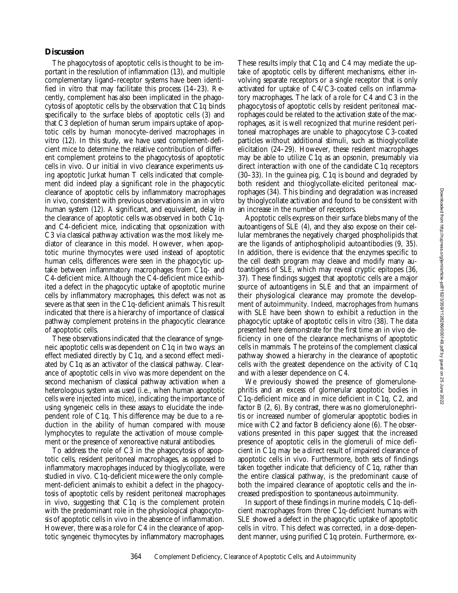# **Discussion**

The phagocytosis of apoptotic cells is thought to be important in the resolution of inflammation (13), and multiple complementary ligand–receptor systems have been identified in vitro that may facilitate this process (14–23). Recently, complement has also been implicated in the phagocytosis of apoptotic cells by the observation that C1q binds specifically to the surface blebs of apoptotic cells (3) and that C3 depletion of human serum impairs uptake of apoptotic cells by human monocyte–derived macrophages in vitro (12). In this study, we have used complement-deficient mice to determine the relative contribution of different complement proteins to the phagocytosis of apoptotic cells in vivo. Our initial in vivo clearance experiments using apoptotic Jurkat human T cells indicated that complement did indeed play a significant role in the phagocytic clearance of apoptotic cells by inflammatory macrophages in vivo, consistent with previous observations in an in vitro human system (12). A significant, and equivalent, delay in the clearance of apoptotic cells was observed in both C1qand C4-deficient mice, indicating that opsonization with C3 via classical pathway activation was the most likely mediator of clearance in this model. However, when apoptotic murine thymocytes were used instead of apoptotic human cells, differences were seen in the phagocytic uptake between inflammatory macrophages from C1q- and C4-deficient mice. Although the C4-deficient mice exhibited a defect in the phagocytic uptake of apoptotic murine cells by inflammatory macrophages, this defect was not as severe as that seen in the C1q-deficient animals. This result indicated that there is a hierarchy of importance of classical pathway complement proteins in the phagocytic clearance of apoptotic cells.

These observations indicated that the clearance of syngeneic apoptotic cells was dependent on C1q in two ways: an effect mediated directly by C1q, and a second effect mediated by C1q as an activator of the classical pathway. Clearance of apoptotic cells in vivo was more dependent on the second mechanism of classical pathway activation when a heterologous system was used (i.e., when human apoptotic cells were injected into mice), indicating the importance of using syngeneic cells in these assays to elucidate the independent role of C1q. This difference may be due to a reduction in the ability of human compared with mouse lymphocytes to regulate the activation of mouse complement or the presence of xenoreactive natural antibodies.

To address the role of C3 in the phagocytosis of apoptotic cells, resident peritoneal macrophages, as opposed to inflammatory macrophages induced by thioglycollate, were studied in vivo. C1q-deficient mice were the only complement-deficient animals to exhibit a defect in the phagocytosis of apoptotic cells by resident peritoneal macrophages in vivo, suggesting that C1q is the complement protein with the predominant role in the physiological phagocytosis of apoptotic cells in vivo in the absence of inflammation. However, there was a role for C4 in the clearance of apoptotic syngeneic thymocytes by inflammatory macrophages.

These results imply that C1q and C4 may mediate the uptake of apoptotic cells by different mechanisms, either involving separate receptors or a single receptor that is only activated for uptake of C4/C3-coated cells on inflammatory macrophages. The lack of a role for C4 and C3 in the phagocytosis of apoptotic cells by resident peritoneal macrophages could be related to the activation state of the macrophages, as it is well recognized that murine resident peritoneal macrophages are unable to phagocytose C3-coated particles without additional stimuli, such as thioglycollate elicitation (24–29). However, these resident macrophages may be able to utilize C1q as an opsonin, presumably via direct interaction with one of the candidate C1q receptors (30–33). In the guinea pig, C1q is bound and degraded by both resident and thioglycollate-elicited peritoneal macrophages (34). This binding and degradation was increased by thioglycollate activation and found to be consistent with an increase in the number of receptors.

Apoptotic cells express on their surface blebs many of the autoantigens of SLE (4), and they also expose on their cellular membranes the negatively charged phospholipids that are the ligands of antiphospholipid autoantibodies (9, 35). In addition, there is evidence that the enzymes specific to the cell death program may cleave and modify many autoantigens of SLE, which may reveal cryptic epitopes (36, 37). These findings suggest that apoptotic cells are a major source of autoantigens in SLE and that an impairment of their physiological clearance may promote the development of autoimmunity. Indeed, macrophages from humans with SLE have been shown to exhibit a reduction in the phagocytic uptake of apoptotic cells in vitro (38). The data presented here demonstrate for the first time an in vivo deficiency in one of the clearance mechanisms of apoptotic cells in mammals. The proteins of the complement classical pathway showed a hierarchy in the clearance of apoptotic cells with the greatest dependence on the activity of C1q and with a lesser dependence on C4.

We previously showed the presence of glomerulonephritis and an excess of glomerular apoptotic bodies in C1q-deficient mice and in mice deficient in C1q, C2, and factor B (2, 6). By contrast, there was no glomerulonephritis or increased number of glomerular apoptotic bodies in mice with C2 and factor B deficiency alone (6). The observations presented in this paper suggest that the increased presence of apoptotic cells in the glomeruli of mice deficient in C1q may be a direct result of impaired clearance of apoptotic cells in vivo. Furthermore, both sets of findings taken together indicate that deficiency of C1q, rather than the entire classical pathway, is the predominant cause of both the impaired clearance of apoptotic cells and the increased predisposition to spontaneous autoimmunity.

In support of these findings in murine models, C1q-deficient macrophages from three C1q-deficient humans with SLE showed a defect in the phagocytic uptake of apoptotic cells in vitro. This defect was corrected, in a dose-dependent manner, using purified C1q protein. Furthermore, ex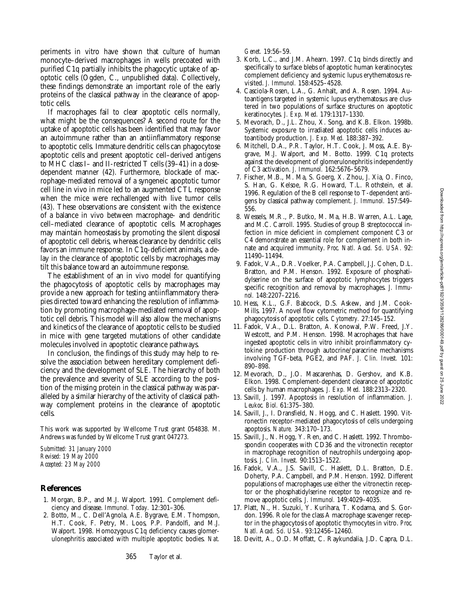periments in vitro have shown that culture of human monocyte–derived macrophages in wells precoated with purified C1q partially inhibits the phagocytic uptake of apoptotic cells (Ogden, C., unpublished data). Collectively, these findings demonstrate an important role of the early proteins of the classical pathway in the clearance of apoptotic cells.

If macrophages fail to clear apoptotic cells normally, what might be the consequences? A second route for the uptake of apoptotic cells has been identified that may favor an autoimmune rather than an antiinflammatory response to apoptotic cells. Immature dendritic cells can phagocytose apoptotic cells and present apoptotic cell–derived antigens to MHC class I– and II-restricted T cells (39–41) in a dosedependent manner (42). Furthermore, blockade of macrophage-mediated removal of a syngeneic apoptotic tumor cell line in vivo in mice led to an augmented CTL response when the mice were rechallenged with live tumor cells (43). These observations are consistent with the existence of a balance in vivo between macrophage- and dendritic cell–mediated clearance of apoptotic cells. Macrophages may maintain homeostasis by promoting the silent disposal of apoptotic cell debris, whereas clearance by dendritic cells favors an immune response. In C1q-deficient animals, a delay in the clearance of apoptotic cells by macrophages may tilt this balance toward an autoimmune response.

The establishment of an in vivo model for quantifying the phagocytosis of apoptotic cells by macrophages may provide a new approach for testing antiinflammatory therapies directed toward enhancing the resolution of inflammation by promoting macrophage-mediated removal of apoptotic cell debris. This model will also allow the mechanisms and kinetics of the clearance of apoptotic cells to be studied in mice with gene targeted mutations of other candidate molecules involved in apoptotic clearance pathways.

In conclusion, the findings of this study may help to resolve the association between hereditary complement deficiency and the development of SLE. The hierarchy of both the prevalence and severity of SLE according to the position of the missing protein in the classical pathway was paralleled by a similar hierarchy of the activity of classical pathway complement proteins in the clearance of apoptotic cells.

This work was supported by Wellcome Trust grant 054838. M. Andrews was funded by Wellcome Trust grant 047273.

*Submitted: 31 January 2000 Revised: 19 May 2000 Accepted: 23 May 2000*

## **References**

- 1. Morgan, B.P., and M.J. Walport. 1991. Complement deficiency and disease. *Immunol. Today.* 12:301–306.
- 2. Botto, M., C. Dell'Agnola, A.E. Bygrave, E.M. Thompson, H.T. Cook, F. Petry, M. Loos, P.P. Pandolfi, and M.J. Walport. 1998. Homozygous C1q deficiency causes glomerulonephritis associated with multiple apoptotic bodies. *Nat.*

*Genet.* 19:56–59.

- 3. Korb, L.C., and J.M. Ahearn. 1997. C1q binds directly and specifically to surface blebs of apoptotic human keratinocytes: complement deficiency and systemic lupus erythematosus revisited. *J. Immunol.* 158:4525–4528.
- 4. Casciola-Rosen, L.A., G. Anhalt, and A. Rosen. 1994. Autoantigens targeted in systemic lupus erythematosus are clustered in two populations of surface structures on apoptotic keratinocytes. *J. Exp. Med.* 179:1317–1330.
- 5. Mevorach, D., J.L. Zhou, X. Song, and K.B. Elkon. 1998b. Systemic exposure to irradiated apoptotic cells induces autoantibody production. *J. Exp. Med.* 188:387–392.
- 6. Mitchell, D.A., P.R. Taylor, H.T. Cook, J. Moss, A.E. Bygrave, M.J. Walport, and M. Botto. 1999. C1q protects against the development of glomerulonephritis independently of C3 activation. *J. Immunol.* 162:5676–5679.
- 7. Fischer, M.B., M. Ma, S. Goerg, X. Zhou, J. Xia, O. Finco, S. Han, G. Kelsoe, R.G. Howard, T.L. Rothstein, et al. 1996. Regulation of the B cell response to T-dependent antigens by classical pathway complement. *J. Immunol.* 157:549– 556.
- 8. Wessels, M.R., P. Butko, M. Ma, H.B. Warren, A.L. Lage, and M.C. Carroll. 1995. Studies of group B streptococcal infection in mice deficient in complement component C3 or C4 demonstrate an essential role for complement in both innate and acquired immunity. *Proc. Natl. Acad. Sci. USA.* 92: 11490–11494.
- 9. Fadok, V.A., D.R. Voelker, P.A. Campbell, J.J. Cohen, D.L. Bratton, and P.M. Henson. 1992. Exposure of phosphatidylserine on the surface of apoptotic lymphocytes triggers specific recognition and removal by macrophages. *J. Immunol.* 148:2207–2216.
- 10. Hess, K.L., G.F. Babcock, D.S. Askew, and J.M. Cook-Mills. 1997. A novel flow cytometric method for quantifying phagocytosis of apoptotic cells. *Cytometry.* 27:145–152.
- 11. Fadok, V.A., D.L. Bratton, A. Konowal, P.W. Freed, J.Y. Westcott, and P.M. Henson. 1998. Macrophages that have ingested apoptotic cells in vitro inhibit proinflammatory cytokine production through autocrine/paracrine mechanisms involving TGF-beta, PGE2, and PAF. *J. Clin. Invest.* 101: 890–898.
- 12. Mevorach, D., J.O. Mascarenhas, D. Gershov, and K.B. Elkon. 1998. Complement-dependent clearance of apoptotic cells by human macrophages. *J. Exp. Med.* 188:2313–2320.
- 13. Savill, J. 1997. Apoptosis in resolution of inflammation. *J. Leukoc. Biol.* 61:375–380.
- 14. Savill, J., I. Dransfield, N. Hogg, and C. Haslett. 1990. Vitronectin receptor-mediated phagocytosis of cells undergoing apoptosis. *Nature.* 343:170–173.
- 15. Savill, J., N. Hogg, Y. Ren, and C. Haslett. 1992. Thrombospondin cooperates with CD36 and the vitronectin receptor in macrophage recognition of neutrophils undergoing apoptosis. *J. Clin. Invest.* 90:1513–1522.
- 16. Fadok, V.A., J.S. Savill, C. Haslett, D.L. Bratton, D.E. Doherty, P.A. Campbell, and P.M. Henson. 1992. Different populations of macrophages use either the vitronectin receptor or the phosphatidylserine receptor to recognize and remove apoptotic cells. *J. Immunol.* 149:4029–4035.
- 17. Platt, N., H. Suzuki, Y. Kurihara, T. Kodama, and S. Gordon. 1996. Role for the class A macrophage scavenger receptor in the phagocytosis of apoptotic thymocytes in vitro. *Proc. Natl. Acad. Sci. USA.* 93:12456–12460.
- 18. Devitt, A., O.D. Moffatt, C. Raykundalia, J.D. Capra, D.L.